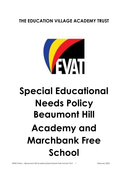## **THE EDUCATION VILLAGE ACADEMY TRUST**



# **Special Educational Needs Policy Beaumont Hill Academy and Marchbank Free School**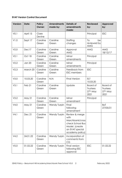#### **EVAT Version Control Document**

| <b>Version:</b>  | Date:         | <b>Policy</b><br><b>Owner:</b> | <b>Amendments</b><br>made by: | <b>Details of</b><br>amendments<br>made:                                                                              | <b>Reviewed</b><br>by:                          | <b>Approved</b><br>by:                          |
|------------------|---------------|--------------------------------|-------------------------------|-----------------------------------------------------------------------------------------------------------------------|-------------------------------------------------|-------------------------------------------------|
| V <sub>0.1</sub> | April 15      | Clare<br>Devine                |                               |                                                                                                                       | Principal                                       | <b>ESC</b>                                      |
| V1.0             | Sept 17       | Caroline<br>Green              | Caroline<br>Green             | Staffing<br>changes                                                                                                   | To<br>be<br>reviewed by<br><b>AMG</b>           |                                                 |
| V2.0             | Dec17         | Caroline<br>Green              | Caroline<br>Green             | Approval<br><b>AMG</b>                                                                                                | <b>AMG</b>                                      | <b>AMG</b><br>18/12/17                          |
| V2.1             | Oct 18        | Caroline<br>Green              | Caroline<br>Green             | Minor<br>amendments                                                                                                   | Principal                                       |                                                 |
| V2.2             | <b>Jan 20</b> | Caroline<br>Green              | Caroline<br>Green             | Minor<br>amendments                                                                                                   | Principal                                       |                                                 |
| V2.3             | March 20      | Caroline<br>Green              | Caroline<br>Green             | Feedback from<br><b>ESC</b> members                                                                                   | <b>ESC</b>                                      |                                                 |
| V3.0             | 10.03.20      | Caroline<br>Green              | N/A                           | <b>Final Version</b>                                                                                                  | <b>ELT</b><br>10.03.20                          |                                                 |
| V3.1             | Feb 21        | Caroline<br>Green              | Caroline<br>Green             | Update                                                                                                                | <b>Board of</b><br>Trustees<br>27th May<br>2021 | <b>Board of</b><br>Trustees<br>27th May<br>2021 |
| V3.2             | May 21        | Caroline<br>Green              | Caroline<br>Green             | Minor<br>amendment                                                                                                    | Principal                                       |                                                 |
| V4.0             | May 21        | Caroline<br>Green              | Wendy Turpin                  | Final<br>following<br>amendment                                                                                       |                                                 | <b>BoT</b><br>27/05/21                          |
| V4.1             | Dec 21        | Caroline<br>Green              | Wendy Turpin                  | Review & merge<br>with<br>Marchbank/cross<br>check School Bus<br>Model. (create<br>an EVAT special<br>academy policy) |                                                 |                                                 |
| V4.2             | 24.01.22      | Caroline<br>Green              | Wendy Turpin                  | Incorporation of<br>comments from<br>CG                                                                               |                                                 |                                                 |
| V5.0             | 01.02.22      | Caroline<br>Green              | Wendy Turpin                  | Final version<br>following ESC<br>approval                                                                            | <b>ESC</b>                                      | 01.02.22                                        |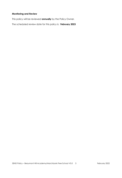#### **Monitoring and Review**

This policy will be reviewed **annually** by the Policy Owner.

The scheduled review date for this policy is: **February 2023**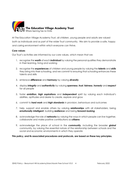

At The Education Village Academy Trust, all children, young people and adults are valued both as individuals and as part of the wider Trust community. We aim to provide a safe, happy and caring environment within which everyone can thrive.

#### **Core values**

Our Trust's activities are informed by our core values, which mean that we:

- 1. recognise the *worth* of each *individual* by valuing the personal qualities they demonstrate in their learning, living and working
- 2. recognise the *experiences* of children and young people by valuing the *talents* and *skills* they bring into their schooling, and we commit to ensuring that schooling enhances these talents and skills
- 3. embrace *difference* and *harmony* by valuing *diversity*
- 4. display *integrity* and *authenticity* by valuing *openness*, *trust*, *fairness*, *honesty* and *respect* for all people
- 5. foster *ambition, high aspirations* and *independent* spirit by valuing each individual's abilities, aptitudes and desire to create, explore and grow
- 6. commit to *hard work* and *high standards* in provision, behaviours and outcomes
- 7. help, support and enable others by valuing *relationships* with all stakeholders, being *emotionally intelligent*, building *resilience* and being *forward-looking*
- 8. acknowledge the role of *networks* by valuing the ways in which people can live together, collaborate and make positive contributions as *citizens*
- 9. acknowledge the place of school in the *community*, including the broader *global* community, by valuing the essential nature of the relationship between schools and the social and economic environments in which they operate

#### **This policy, and its associated procedures and protocols, are based on these key principles.**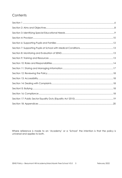### Contents

Where reference is made to an 'Academy' or a 'School' the intention is that the policy is universal and applies to both.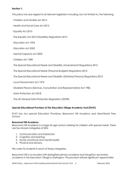#### <span id="page-5-0"></span>**Section 1:**

This policy has due regard to all relevant legislation including, but not limited to, the following:

- · Children and Families Act 2014
- · Health and Social Care Act 2012
- · Equality Act 2010
- · The Equality Act 2010 (Disability) Regulations 2010
- · Education Act 1996
- · Education Act 2002
- · Mental Capacity Act 2005
- · Children Act 1989
- · The Special Educational Needs and Disability (Amendment) Regulations 2015
- · The Special Educational Needs (Personal Budgets) Regulations 2014
- · The Special Educational Needs and Disability (Detained Persons) Regulations 2015
- · Local Government Act 1974
- · Disabled Persons (Services, Consultation and Representation) Act 1986
- · Data Protection Act 2018
- · The UK General Data Protection Regulation (GDPR)

#### **Special Educational Provision at The Education Village Academy Trust (EVAT)**

*EVAT has two special Education Provisions; Beaumont Hill Academy and Marchbank Free School:*

#### **Beaumont Hill Academy**

Beaumont Hill Academy is a large all age school catering for children with special needs. There are four broad categories of SEN:

- 1. Communication and interaction
- 2. Cognition and learning
- 3. Social, emotional and mental health
- 4. Physical and sensory.

We cater for students in each of these categories.

Beaumont Hill is co-located with Springfield primary academy and Haughton secondary academy in the Education Village in Darlington. This provision affords significant opportunities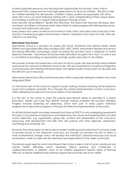to blend specialist resources and teaching with opportunities for inclusion. Every child in Beaumont Hill is unique and we have high expectations for all of our children. We aim to help our children develop into self-assured, confident, happy, positive young people. Our ethos starts with a focus on each individual starting with a clear understanding of their unique needs and building a pathway to support their progression through school.

Every teacher will be skilled in 'Quality First Teaching': this means that teachers will assess, plan and teach all children at the level which allows them to make progress with their learning across a broad and balanced curriculum.

Every parent and carer is invited to be involved in their child's education and to be part of the process of reviewing progress and provision. Parents' aspirations and hopes for their child are critical to our planning.

#### **Marchbank Free School**

Marchbank School is a provision for pupils with Social, Emotional and Mental Health needs (SEMH) and associated difficulties including ODD, ADD, ADHD, attachment disorder and sensory processing difficulties. Increasingly, pupils accessing the provision have a diagnosis of Autism Spectrum Disorder. Marchbank School provides education for pupil's from Year 1 to year 6 and is committed to providing an appropriate and high quality education to all children.

We provide a broad and balanced curriculum for all our pupils with Special Educational Needs and ensure full curriculum entitlement and access. We are committed to a maximum integration commensurate with meeting individual needs, the highest quality of education for all pupils and the efficient use of resources.

Marchbank Free School offers full time education within a specialist setting for children who have diagnosed SEMH.

It is the broad aim of the school to support a pupil working towards reaching his/her personal, social and academic potential. This is through the careful implementation school's curriculum, whilst addressing the personal and social needs of the individual.

It is the aim of the school to meet the special educational needs as specified in a pupil's Education, Health and Care Plan (EHCP) through making available the provision detailed. Progress towards achieving set objectives, which form part of every pupil's individual programme of educational support, is through the effective implementation of this policy.

As all Marchbank pupils have been assessed and have an EHCP (or are undergoing assessment) this policy is of paramount importance and determines the nature and implementation of other school objectives, e.g. organisation, group size, content and presentation of the curriculum, resourcing, staff development and skills, links with parents and other agencies, assessment, monitoring and reviewing, etc.

However, the school does not see its role as merely modifying pupil's behaviour in school in order to provide access to the classroom curriculum, but through our provision we aim to affect a more fundamental change, which will develop the individual's personal resources and social awareness in order to cope with the demands and expectations of the wider community.

The primary pupil need for which Marchbank Free School caters is that of social, emotional and mental health difficulties which adversely affects learning and contributes to underachievement. In addition, many of our children experience specific areas of learning difficulty or require additional educational support because they are of low ability.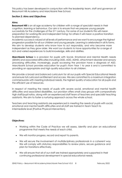This policy has been developed in conjunction with the leadership team, staff and governors at Beaumont Hill Academy and Marchbank Free School.

#### <span id="page-7-0"></span>**Section 2: Aims and Objectives**

#### **Aims:**

**Beaumont Hill** is an all age academy for children with a range of specialist needs in their cognition, learning or behaviour. Our aim is to ensure that we prepare young people successfully for the challenges of the 21<sup>st</sup> century. For some of our students this will mean preparation for working life and independent living; for others it will mean a positive transition to planned dependency.

Academic success is valued at all levels of performance and we want to encourage the highest progression possible for all our children and young people. Learning is celebrated in all its forms. We aim to develop students who know how to act responsibly, and who become more independent as they grow older. We want our students to have opportunities for a range of rich and varied experiences to build knowledge, skills and abilities.

**Marchbank Schoo**l is a provision for pupils with Social, Emotional and Mental Health needs (SEMH) and associated difficulties including ODD, ADD, ADHD, attachment disorder and sensory processing difficulties. Increasingly, pupils accessing the provision have a diagnosis of ASD. Marchbank School provides education for pupil's from Year 1 to year 6 and is committed to providing an appropriate and high quality education to all children.

We provide a broad and balanced curriculum for all our pupils with Special Educational Needs and ensure full curriculum entitlement and access. We are committed to a maximum integration commensurate with meeting individual needs, the highest quality of education for all pupils and the efficient use of resources.

In respect of meeting the needs of pupils with severe social, emotional and mental health difficulties and associated disabilities, our provision offers small class groups with comparatively high staff/pupil ratios, along with an experienced staff team of teachers and specialist teaching assistants. We aim to foster a nurturing approach across the whole school.

Teachers and teaching assistants are experienced in meeting the needs of pupils with social, emotional and mental health difficulties and all staff are trained in Team Teach to intermediate level (Positive Physical Intervention).

#### **Objectives:**

- Working within the Code of Practice we will assess, identify and plan an educational programme that meets the needs of each child.
- We will monitor progress, record and report to parents.
- We will secure the involvement of multidisciplinary professionals in a coherent way We will comply with statutory responsibilities to review plans, secure guidance and plan for transitions effectively.
- We will ensure that all of our staff are trained appropriately and supported in their continuing professional development in special educational needs.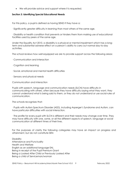• We will provide advice and support where it is requested.

#### <span id="page-8-0"></span>**Section 3: Identifying Special Educational Needs**

For this policy, a pupil is defined as having SEND if they have a:

· Significantly greater difficulty in learning than most others of the same age.

· Disability or health condition that prevents or hinders them from making use of educational facilities used by peers of the same age.

Under the Equality Act 2010, a disability is a physical or mental impairment which has a longterm and substantial adverse effect on a person's ability to carry out normal day-to-day activities.

The school reviews how well equipped we are to provide support across the following areas:

- · Communication and interaction
- · Cognition and learning
- · Social, emotional and mental health difficulties
- · Sensory and physical needs

Communication and interaction

Pupils with speech, language and communication needs (SLCN) have difficulty in communicating with others, often because they have difficulty saying what they want, they cannot understand what is being said to them, or they do not understand or use social rules of communication.

The schools recognises that:

· Pupils with Autism Spectrum Disorder (ASD), including Asperger's Syndrome and Autism, can have particular difficulties with social interaction.

· The profile for every pupil with SLCN is different and their needs may change over time. They may have difficulty with one, some, or all the different aspects of speech, language or social communication at different times of their lives.

For the purposes of clarity the following categories may have an impact on progress and attainment, but do not constitute SEN:

**Disability** Attendance and Punctuality Health and Welfare English as an additional language EAL Being in receipt of the Pupil Premium Grant Being a Looked After Child or Previously Looked After Being a child of Serviceman/woman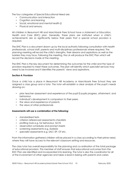The four categories of Special Educational Need are:

- Communication and interaction
- Cognition and learning
- Social, emotional and mental health **D**
- Physical and sensory.

All children in Beaumont Hill and Marchbank Free School have a statement or Education, Health and Care (EHC) plan. Generally, these plans are instituted when a child's achievements are so significantly below their peers that a special school provision is required.

The EHC Plan is a document drawn up by the local authority following consultation with health professionals, school staff, parents and multi-disciplinary professionals where required. The planning meeting will record the child's strengths, their dreams and aspirations as well as the barriers they may face. Following the meeting, the LA will produce the EHC Plan which will record the decisions made at the meeting.

The EHC Plan is the key document for determining the outcomes for the child and the type of provision required to meet these outcomes. The plan will identify which specialist services may need to be involved and it identifies the parents' views and aspirations.

#### <span id="page-9-0"></span>**Section 4: Provision**

Once a child has a place in Beaumont Hill Academy or Marchbank Free School they are assigned a class group and a tutor. The tutor will establish a clear analysis of the pupil's needs drawing on:

- prior teacher assessment and experience of the pupil I pupils progress, attainment, and behaviour.
- individual's development in comparison to their peers
- the views and experience of parents
- the views of other professionals

#### **Assessments will use a combination of the following:**

- standardised tests
- criterion referenced assessments checklists
- profiling tools e.g. for behaviour, SLCN
- observation schedules and prompt sheets
- screening assessments e.g. dyslexia
- specialist assessments e.g. SALT, EP, OT etc.

From the information gathered children will be placed in a class according to their prime need, where they will have access to the relevant classroom setting and resources.

The class tutor has overall responsibility for the planning and co-ordination of the total package of educational provision. This member of staff ensures that educational outcomes from the EHC Plan are identified and incorporated into learning. The tutor is also the coordinator for all of the involvement of other agencies and takes a lead in liaising with parents and carers.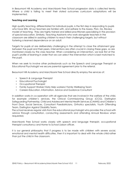In Beaumont Hill Academy and Marchbank Free School progression data is collected termly. Where a child is failing to meet their stated outcomes curriculum adaptations will be implemented.

#### **Teaching and Learning**

High quality teaching, differentiated for individual pupils, is the first step in responding to pupils who have SEN*.* All our teachers are familiar with, and adhere to the Assess, Plan, Do, Review model of teaching. They are highly trained and skilled practitioners specialising in the provision of special education. Similarly, Teaching Assistants who work alongside teachers in the classroom are skilled in assisting children to reach their challenging targets, but without fostering a learned dependence on an adult.

Targets for pupils at are deliberately challenging in the attempt to close the attainment gap between the pupil and their peers. Interventions are often crucial in closing these gaps, so are monitored closely by the class teacher. When considering an intervention, we look first at the pupil's profile of learning in order that we can select the intervention which is best matched to the pupil.

When we seek to involve other professionals such as the Speech and Language Therapist or Educational Psychologist we secure parental agreement prior to the referral.

Beaumont Hill Academy and Marchbank Free School directly employ the services of:

- Speech & Language Therapist
- Educational Psychologist
- Occupational Therapist
- Family Support Worker/ Early Help workers/ Family Wellbeing Team
- Careers Education, Information, Advice and Guidance Consultant

In addition works in co-operation with all agencies that are involved in the welfare of the child, for example children's services, the Clinical Commissioning Group (CCG), Darlington Safeguarding Partnership, Child and Adolescent Mental Health Services (CAMHS) and Children's Front Door, Social Services, Consultant Paediatricians, Orthotics specialists, Youth Offending Team, Darlington Against Disability Team.

The school receives regular visits from the educational psychologist who provides the school with advice through consultation, conducting assessments and attending Annual Reviews when requested,

Marchbank Free School works closely with speech and language therapist, occupational therapist consultancy and Home to School Liaison officer.

It is our general philosophy that if progress is to be made with children with severe social, emotional and mental health difficulties, then it is important to deal with the whole child rather than just the child in the classroom.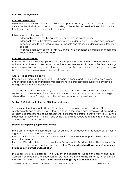#### **Transition Arrangements**

#### **Transition into school:**

We understand how difficult it is for children and parents as they move into a new class or a new school and will do what we can, according to the individual needs of the child, to make transitions between classes as smooth as possible.

This may include, for example:

- additional meetings for the parents and pupil with the new teacher
- additional visits to the classroom environment in order to identify location and resources
- opportunities to take photographs of key people and places in order to make a transition booklet.
- for some pupils such as those with ASD there will be enhanced transition arrangements tailored to meet individual needs.

#### **Transition to Secondary:**

Transition reviews for Year 6 pupils are held, where possible, in the Summer Term of Year 5 or the Autumn term of Year 6. Secondary school teachers are invited to Annual Review meetings where information exchange and planning can occur. Additional transition arrangements may be made at these reviews e.g. extra visits, travel etc.

#### **After Y11 (Beaumont Hill only):**

Transition planning for the end of Y11 will begin in Year 9 and will be based on a clear understanding of student and parental aspirations. This process will be supported by advice and guidance from Careers Officers.

On leaving Beaumont Hill Academy students have a range of options which are determined by the realistic assessment of their potential. Some students will stay on at Carlbury College, others will go to local Colleges and others will secure work or apprenticeships.

#### **Section 5: Criteria for Exiting the SEN Register/Record**

Every student in Beaumont Hill and Marchbank have a formal annual review. At this review, which parents and students are invited to attend, discussion around progress will be used to assess the appropriateness of the placement. If either school staff or parents want to review the placement or seek to exit the SEN register the views will be recorded and referred to the Local Authority for further discussion.

#### <span id="page-11-0"></span>**Section 6: Supporting Pupils and Families**

There are a number of information sites for parents which document the range of services in regard to special educational needs.

The Local Offer describes what is available within the authority to support children with special educational needs.

The Local Offer description of the provision at Beaumont Hill Academy is identified in Appendix 1 and can be found on the web site[:](https://www.educationvillage.org.uk/beaumont-hill-academy/information/local-offer/) **[https://www.educationvillage.org.uk/beaumont](https://www.educationvillage.org.uk/beaumont-hill-academy/information/local-offer/)[hillacademy/information/local-offer/](https://www.educationvillage.org.uk/beaumont-hill-academy/information/local-offer/)**

The Local offers also describes links with other agencies to support the family and pupil Admission arrangements for Beaumont Hill are identified in the Admissions Policy which can be found on the web page: **[https://www.educationvillage.org.uk/beaumont-hill-](https://www.educationvillage.org.uk/beaumont-hill-academy/parents-and-carers/bhaadmissions/)**

SEND Policy – Beaumont Hill Academy/Marchbank Free School V5.0 12 February 2022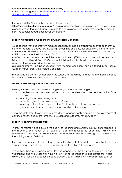#### **[academy/parents-and-carers/bhaadmissions/](https://www.educationvillage.org.uk/beaumont-hill-academy/parents-and-carers/bhaadmissions/)**

Admission arrangements for [Marchbank Free School are identified in the Admissions Policy](https://www.educationvillage.org.uk/site_assets/files/Marchbank%20admissions%20doc.pdf)  [doc.pdf \(educationvillage.org.uk\)](https://www.educationvillage.org.uk/site_assets/files/Marchbank%20admissions%20doc.pdf)

The Accessibility Plan can be found on the website**:** 

**[https://www.educationvillage.org.uk](https://www.educationvillage.org.uk/beaumont-hill-academy/information/BHA-SENDReport/)** Access arrangements are those plans which are put into place to ensure that our students are able to access exams and other assessments. or directly from the special educational needs co-ordinator.

#### <span id="page-12-0"></span>**Section 7: Supporting Pupils at School with Medical Conditions**

We recognise that students with medical conditions should be properly supported so that they have full access to education, including school trips and physical education. Some children with medical conditions may also be disabled and where this is the case the school will comply with its duties under the Equality Act 2010.

All of our students also have special educational needs (SEN) and will have a statement, or Education, Health and Care (EHC) plan which brings together health and social care needs, as well as their special educational provision.

Our arrangements to support students with medical conditions can be found in our policy 'Supporting Children with Medical Conditions. .

The designated person for managing the schools' responsibility for meeting the medical needs of pupils is the Executive Principal, Caroline Green.

#### <span id="page-12-1"></span>**Section 8: Monitoring and Evaluation of SEND**

We regularly evaluate our provision using a range of tools and strategies:

- school evaluation document written by schools leaders which assesses the quality of the provision
- teaching is monitored every term
- student progress is monitored every half term
- formal questionnaires are sent to all staff, all pupils and all parents every year
- governors scrutinise school performance and practices every term.

Using the data from these audits our monitoring arrangements promote an active process of continual review and improvement of provision and outcomes for all students.

#### <span id="page-12-2"></span>**Section 9: Training and Resources**

In order to maintain and develop the quality of teaching and curriculum provision to respond to the strengths and needs of all pupils, all staff are required to undertake training and development activities and Beaumont Hill Academy has an annual training budget to address the training needs of all staff.

There are a number of mandatory areas with which staff need to be compliant such as safeguarding, physical interventions, medical updates, lifting & handling etc.

In addition, there is a programme of training opportunities both within Beaumont Hill and Marchbank and the wider trust which allow staff to upgrade their skills across the whole dimension of special educational needs provision. Such training will include sessions such as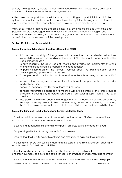sensory profiling, literacy across the curriculum, leadership and management, developing communication outcomes, epilepsy management etc.

All teachers and support staff undertake induction on taking up a post. This is to explain the systems and structures in the school. It is complemented by future training which is tailored to match career expectations and school needs. Training logs are maintained on all staff.

Many of our training sessions are delivered in-house by our own experts and where this is not possible staff are encouraged to attend training or conferences across the region and nationally. Many staff belong to local networking groups and contribute to the development of curriculum and assessment policies development.

#### <span id="page-13-0"></span>**Section 10: Roles and Responsibilities**

#### **Role of the school Educational Standards Committee (ESC)**

- it is the statutory duty of the governors to ensure that the academies follow their responsibilities to meet the needs of children with SEND following the requirements of the Code of Practice 2014
- to have regard to the SEND Code of Practice and oversee the implementation of the reform and provide strategic support to the head teacher
- to publish information on the school's websites about the implementation of the governing body's policy for pupils with SEN.
- To cooperate with the local authority in relation to the school being named in an EHC plan.
- to ensure that arrangements are in place in schools to support pupils at school with medical conditions.
- appoint a member of the Governor team as SEND lead
- consider their strategic approach to meeting SEN in the context of the total resources available, including any resources targeted at particular groups, such as the pupil premium
- must publish information about the arrangements for the admission of disabled children, the steps taken to prevent disabled children being treated less favourably than others, the facilities provided to assist access of disabled children, and their accessibility plans.

#### **Role of the Principal, Head of School and Senior Leadership team:**

· Ensuring that those who are teaching or working with pupils with SEND are aware of their needs and have arrangements in place to meet them.

· Ensuring that teachers monitor and review pupils' progress during the academic year.

· Cooperating with the LA during annual EHC plan reviews.

· Ensuring that the SENCO has sufficient time and resources to carry out their functions.

· Providing the SENCO with sufficient administrative support and time away from teaching to enable them to fulfil their responsibilities.

· Regularly and carefully reviewing the quality of teaching for pupils at risk of underachievement, as a core part of the school's performance management arrangements.

· Ensuring that teachers understand the strategies to identify and support vulnerable pupils.

SEND Policy – Beaumont Hill Academy/Marchbank Free School V5.0 14 February 2022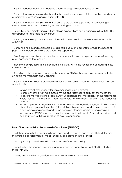· Ensuring teachers have an established understanding of different types of SEND.

· Ensuring that procedures and policies for the day-to-day running of the school do not directly or indirectly discriminate against pupils with SEND.

· Ensuring that pupils with SEND and their parents are actively supported in contributing to needs assessments, and developing and reviewing EHC plans.

· Establishing and maintaining a culture of high expectations and including pupils with SEND in all opportunities available to other pupils.

· Ensuring that the approach to the curriculum includes how it is made accessible for pupils with SEND.

· Consulting health and social care professionals, pupils, and parents to ensure the needs of pupils with medical conditions are effectively supported.

· Keeping parents and relevant teachers up-to-date with any changes or concerns involving a pupil, considering the school's , , ,

· Identifying any patterns in the identification of SEND within the school and comparing these with national data.

· Reporting to the governing board on the impact of SEND policies and procedures, including on pupils' mental health and wellbeing.

· Ensuring that the SENCO is provided with training, with an emphasis on mental health, on an annual basis.

- to take overall responsibility for implementing the SEND reforms
- to ensure that the staff have sufficient time and resources to carry out their functions
- to ensure the wider school community understands the implications of the reforms for whole school improvement (from governors to classroom teachers and teaching assistants).
- to put in place arrangements to ensure parents are regularly engaged in discussions about the progress of their child (at least three times a year) and ensure a process is in place for involving parents and young people in planning and reviewing provision
- to implement CEIAG strategies, develop relationship with post 16 providers and support pupils with SEN with their transition to post 16 education.

#### **Role of the Special Educational Needs Coordinator (SENDCO):**

· Collaborating with the governing board and headteacher, as part of the SLT, to determine the strategic development of the SEND policy and provision in the school.

· The day-to-day operation and implementation of the SEND policy.

· Coordinating the specific provision made to support individual pupils with SEND, including those with EHC

· Liaising with the relevant, designated teachers where LAC have SEND.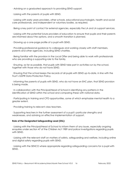· Advising on a graduated approach to providing SEND support.

· Liaising with the parents of pupils with SEND.

· Liaising with early years providers, other schools, educational psychologists, health and social care professionals, and independent or voluntary bodies, as required.

· Being a key point of contact for external agencies, especially the LA and LA support services.

· Liaising with the potential future providers of education to ensure that pupils and their parents are informed about the options, and a smooth transition is planned.

· Drawing up a one-page profile of a pupil with SEND.

· Providing professional guidance to colleagues and working closely with staff members, parents and other agencies, including SEND charities.

· Being familiar with the provision in the Local Offer and being able to work with professionals who are providing a supporting role to the family.

· Ensuring, as far as possible, that pupils with SEND take part in activities run by the school, together with those who do not have SEND.

· Ensuring that the school keeps the records of all pupils with SEND up-to-date, in line with the Trust's GDPR Data Protection Policy.

· Informing the parents of pupils with SEND, who do not have an EHC plan, that SEND provision is being made.

· In collaboration with the Principal/Head of School in identifying any patterns in the identification of SEND within the school and comparing these with national data.

· Participating in training and CPD opportunities, some of which emphasise mental health to a greater extent.

· Providing training to relevant class teachers.

· Supporting teachers in the further assessment of a pupil's particular strengths and weaknesses, and advising on effective implementation of support.

#### **Role of the Designated Safeguarding Lead (DSL):**

· Liaising with the Principal/Head of School to inform them of any issues, especially ongoing enquiries under section 47 of the Children Act 1989 and police investigations regarding pupils with SEND.

· Liaising with the relevant staff on matters of safety, safeguarding and welfare, including online and digital safety regarding pupils with SEND.

· Liaising with the SENCO where appropriate regarding safeguarding concerns for a pupil with SEND.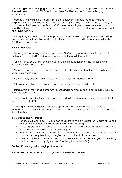· Promoting supportive engagement with parents and/or carers in safeguarding and promote the welfare of pupils with SEND, including where families may be facing challenging circumstances.

· Working with the Principal/Head of School and relevant strategic leads, taking lead responsibility for promoting educational outcomes by knowing the welfare, safeguarding and child protection issues that pupils with SEND are experiencing or have experienced, and identifying the impact that these issues might be having on pupil's attendance, engagement and achievements.

· Recognising the additional risks that pupils with SEND face online, e.g., from online bullying, grooming and radicalisation, and ensuring they have the capability to support pupils with SEND to stay safe online.

#### **Role of Teachers:**

· Planning and reviewing support for pupils with SEND on a graduated basis, in collaboration with parents, the SENCO and, where appropriate, the pupils themselves.

· Setting high expectations for every pupil and aiming to teach them the full curriculum, whatever their prior attainment.

· Planning lessons to address potential areas of difficulty to ensure that there are no barriers to every pupil achieving.

· Ensuring every pupil with SEND is able to study the full national curriculum.

· Being accountable for the progress and development of the pupils in their class.

· Being aware of the needs, outcomes sought, and support provided to any pupils with SEND they are working with.

· Understanding and implementing strategies to identify and support vulnerable pupils with the support of the SENCO.

· Keeping the relevant figures of authority up-to-date with any changes in behaviour, academic developments and causes of concern. The relevant figures of authority include the headteacher.

#### **Role of Teaching Assistants:**

- teachers will work closely with teaching assistants to plan, assess the impact of support and ensure that there are clear links to classroom teaching.
- Teaching assistants will focus their support on the achievement of specific outcomes within the graduated approach to SEN support
- teaching assistants will be aware of pupils' needs, their planned outcomes, the support provided and any teaching strategies or approaches that are required.
- in Beaumont Hill Academy and Marchbank Free School the line managers for teaching assistants are academy Higher Level Teaching Assistants (HLTAs)

#### <span id="page-16-0"></span>**Section 11: Storing and Managing Information**

Please see the Trust's Records Management & Retention Schedule.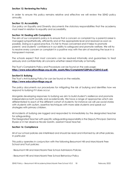#### <span id="page-17-0"></span>**Section 12: Reviewing the Policy**

In order to ensure this policy remains relative and effective we will review the SEND policy annually.

#### <span id="page-17-1"></span>**Section 13: Accessibility**

Our policy on Equality and Diversity documents the statutory responsibilities that the academy must meet in relation to equality and accessibility.

#### <span id="page-17-2"></span>**Section 14: Dealing with Complaints**

The aim of our complaints policy is to ensure that a concern or complaint by a parent/career is managed sympathetically, efficiently and at the appropriate level and resolved as soon as possible. Doing so is good practice, it is fair to those concerned and it helps to promote parents' and students' confidence in our ability to safeguard and promote welfare. We will try to resolve every concern or complaint in a positive way with the aim of resolving the issue in a transparent manner.

The schools expect that most concerns can be resolved informally and guarantees to treat seriously and confidentially all concerns whether raised informally or formally.

The Trust's Complaints Policy and Procedure can be found on the web page: **[https://www.educationvillage.org.uk/site\\_assets/files/Complaints%20Policy%20V2.0.pdf.](https://www.educationvillage.org.uk/site_assets/files/Complaints%20Policy%20V2.0.pdf)**

#### <span id="page-17-3"></span>**Section15: Bullying**

The Trust's Anti-bullying Policy for can be found on the website. **[https://www.educationvillage.org.uk](https://www.educationvillage.org.uk/beaumont-hill-academy/bha-Behaviourandsafety/bha-antibullying/)**

The policy documents our procedures for mitigating the risk of bullying and identifies how we respond to bullying if it does occur.

Alongside developing responses to bullying we aim to build student's resilience and promote independence both socially and academically. We have a range of approaches which are differentiated to each of the different cohort of students; for instance we will use social stories with students with autism, assertive techniques with more able students and speak out strategies with primary children.

All incidents of bullying are logged and responded to immediately by the designated teacher for safeguarding.

The Designated Teacher with specific safeguarding responsibility is the Deputy Principal, Gemma Elysee or in her absence Nicole Garstin, assistant head teacher.

#### <span id="page-17-4"></span>**Section 16: Compliance**

All of our school policies are interlinked and should be read and informed by all other policies. In particular:

This policy operates in conjunction with the following Beaumont Hill and Marchbank Free School and Trust policies:

· Beaumont Hill and Marchbank Free School Admissions Policies

- Beaumont Hill and Marchbank Free School Behaviour Policy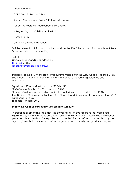· Accessibility Plan

- · GDPR Data Protection Policy
- · Records Management Policy & Retention Schedule
- · Supporting Pupils with Medical Conditions Policy
- · Safeguarding and Child Protection Policy
- · Careers Policy
- · Complaints Policy & Procedure

Policies relevant to this policy can be found on the EVAT. Beaumont Hill or Marchbank Free School websites or by contacting:

Jo Bates Office manager and SEND admissions Tel: 01325 248136 [jobates@educationvillage.org.uk](mailto:jobates@educationvillage.org.uk)

This policy complies with the statutory requirement laid out in the SEND Code of Practice 0 – 25 September 2014 and has been written with reference to the following guidance and documents:

Equality Act 2010: advice for schools DfE Feb 2013 SEND Code of Practice 0 – 25 (September 2014) Statutory Guidance on supporting pupils at school with medical conditions April 2014 The National Curriculum in England Key Stage 1 and 2 framework document Sept 2013 Safeguarding Policy Teachers Standards 2012

#### <span id="page-18-0"></span>**Section 17: Public Sector Equality Duty (Equality Act 2010)**

In preparing or amending this policy, the author has given due regard to the Public Sector Equality Duty; in that they have considered any potential impact on people who share certain protected characteristics. These protected characteristics are defined as: race, disability, sex, age, religion or belief, sexual orientation, pregnancy and maternity and gender reassignment.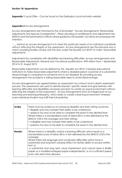#### <span id="page-19-0"></span>**Section 18: Appendices**

**Appendix 1** Local Offer – Can be found on the Darlington Local Authority website

#### **Appendix 2** Access Arrangements

Access Arrangements are informed by the JCQ booklet: "Access Arrangements, Reasonable Adjustments and Special Consideration". When deciding on entitlements and adjustments the SENCO and the Examinations Officer will be guided by this booklet. Our ethos encompasses the intention:

*'….. behind an access arrangement is to meet the particular needs of an individual candidate*  without affecting the integrity of the assessment. Access arrangements are the principal way in *which awarding bodies comply with the duty under the Equality Act 2010\* to make 'reasonable adjustments'.* 

Adjustments for candidates with disabilities and learning difficulties: Access Arrangements and Reasonable Adjustments: General and Vocational qualifications. With effect from 1 September 2014 to 31 August 2015

Reasonable Adjustments can be defined by the Equality Act 2010. It requires educational institutions to make reasonable adjustments where a disabled person would be at a substantial disadvantage in comparison to someone who is not disabled. By providing access arrangements the academy is taking reasonable steps to avoid disadvantage.

Access arrangements are agreed before an assessment via a robust and in-depth assessment process. The assessments are used to identify learners' specific needs and give learners with learning difficulties and disabilities necessary provision to create an equal environment without affecting the integrity of the assessment. Access Arrangements form an integral part of our teaching and learning philosophy, which seeks to create a learning environment whereby every individual student may fulfil their full potential.

| Scribe | There must be evidence of a physical disability and their writing would be;<br>• illegible and may hamper their ability to be understood<br>• speed is too slow to be able to complete the exam in the allotted time<br>Where there is a standardised score of below 85 in a test delivered by the<br>SENCO (100 is the average) and their writing:-<br>• Is illegible and may hamper their ability to be understood<br>• speed is too slow to be able to complete the exam in the allotted time                                   |
|--------|------------------------------------------------------------------------------------------------------------------------------------------------------------------------------------------------------------------------------------------------------------------------------------------------------------------------------------------------------------------------------------------------------------------------------------------------------------------------------------------------------------------------------------|
| Reader | Where there is a disability and/or a learning difficulty which results in a<br>standardised score of below 85 in a test delivered by the SENCO (100 is the<br>average)<br>Where there are language and vocabulary difficulties which have a<br>substantial and long term adverse effect on his/her ability to access written<br>text; or<br>a substantial and long term visual impairment and cannot read a Braille<br>paper or a modified enlarged paper independently, or at a sufficient speed<br>even with extra time allowed. |